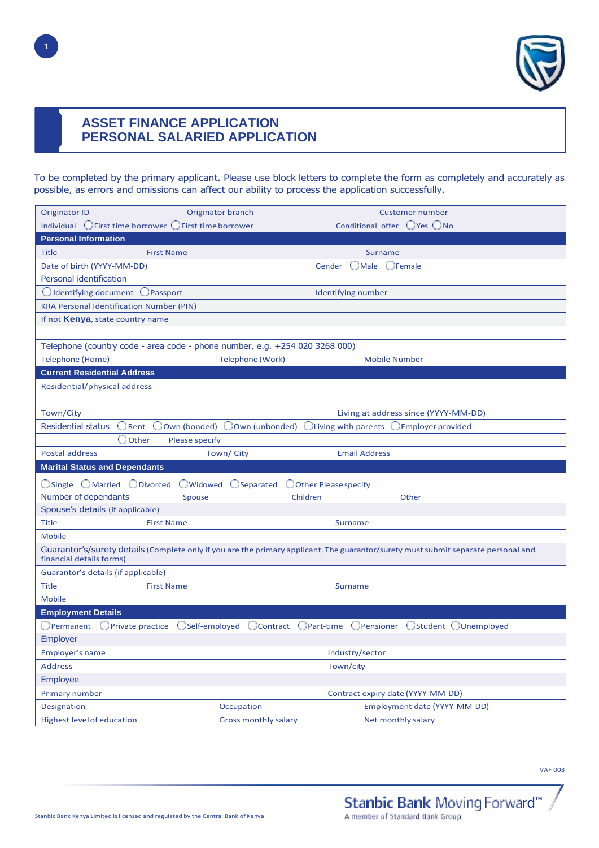

# **ASSET FINANCE APPLICATION PERSONAL SALARIED APPLICATION**

To be completed by the primary applicant. Please use block letters to complete the form as completely and accurately as possible, as errors and omissions can affect our ability to process the application successfully.

| <b>Originator ID</b><br>Originator branch<br><b>Customer number</b>                                                                                            |  |  |  |  |  |  |  |  |
|----------------------------------------------------------------------------------------------------------------------------------------------------------------|--|--|--|--|--|--|--|--|
| Conditional offer OYes ONo<br>Individual C First time borrower C First time borrower                                                                           |  |  |  |  |  |  |  |  |
| <b>Personal Information</b>                                                                                                                                    |  |  |  |  |  |  |  |  |
| <b>Title</b><br><b>First Name</b><br>Surname                                                                                                                   |  |  |  |  |  |  |  |  |
| <b>CMale CFemale</b><br>Date of birth (YYYY-MM-DD)<br>Gender                                                                                                   |  |  |  |  |  |  |  |  |
| Personal identification                                                                                                                                        |  |  |  |  |  |  |  |  |
| C Identifying document C Passport<br>Identifying number                                                                                                        |  |  |  |  |  |  |  |  |
| <b>KRA Personal Identification Number (PIN)</b>                                                                                                                |  |  |  |  |  |  |  |  |
| If not Kenya, state country name                                                                                                                               |  |  |  |  |  |  |  |  |
|                                                                                                                                                                |  |  |  |  |  |  |  |  |
| Telephone (country code - area code - phone number, e.g. +254 020 3268 000)                                                                                    |  |  |  |  |  |  |  |  |
| <b>Telephone (Home)</b><br>Telephone (Work)<br><b>Mobile Number</b>                                                                                            |  |  |  |  |  |  |  |  |
| <b>Current Residential Address</b>                                                                                                                             |  |  |  |  |  |  |  |  |
| Residential/physical address                                                                                                                                   |  |  |  |  |  |  |  |  |
|                                                                                                                                                                |  |  |  |  |  |  |  |  |
| Town/City<br>Living at address since (YYYY-MM-DD)                                                                                                              |  |  |  |  |  |  |  |  |
| $\Box$ Rent $\Box$ Own (bonded) $\Box$ Own (unbonded) $\Box$ Living with parents $\Box$ Employer provided<br><b>Residential status</b>                         |  |  |  |  |  |  |  |  |
| $\bigcirc$ Other<br><b>Please specify</b>                                                                                                                      |  |  |  |  |  |  |  |  |
| <b>Postal address</b><br>Town/City<br><b>Email Address</b>                                                                                                     |  |  |  |  |  |  |  |  |
| <b>Marital Status and Dependants</b>                                                                                                                           |  |  |  |  |  |  |  |  |
| ○ Single ○ Married ○ Divorced ○ Widowed ○ Separated ○ Other Please specify                                                                                     |  |  |  |  |  |  |  |  |
| Number of dependants<br>Spouse<br>Children<br>Other                                                                                                            |  |  |  |  |  |  |  |  |
|                                                                                                                                                                |  |  |  |  |  |  |  |  |
| Spouse's details (if applicable)                                                                                                                               |  |  |  |  |  |  |  |  |
| <b>Title</b><br><b>First Name</b><br><b>Surname</b>                                                                                                            |  |  |  |  |  |  |  |  |
| Mobile                                                                                                                                                         |  |  |  |  |  |  |  |  |
| Guarantor's/surety details (Complete only if you are the primary applicant. The guarantor/surety must submit separate personal and<br>financial details forms) |  |  |  |  |  |  |  |  |
| Guarantor's details (if applicable)                                                                                                                            |  |  |  |  |  |  |  |  |
| <b>Title</b><br><b>First Name</b><br>Surname                                                                                                                   |  |  |  |  |  |  |  |  |
| Mobile                                                                                                                                                         |  |  |  |  |  |  |  |  |
| <b>Employment Details</b>                                                                                                                                      |  |  |  |  |  |  |  |  |
| $\bigcirc$ Permanent $\bigcirc$ Private practice<br>OSelf-employed CContract OPart-time OPensioner OStudent OUnemployed                                        |  |  |  |  |  |  |  |  |
| Employer                                                                                                                                                       |  |  |  |  |  |  |  |  |
| Employer's name<br>Industry/sector                                                                                                                             |  |  |  |  |  |  |  |  |
| <b>Address</b><br>Town/city                                                                                                                                    |  |  |  |  |  |  |  |  |
| <b>Employee</b>                                                                                                                                                |  |  |  |  |  |  |  |  |
| <b>Primary number</b><br>Contract expiry date (YYYY-MM-DD)                                                                                                     |  |  |  |  |  |  |  |  |
| Employment date (YYYY-MM-DD)<br>Designation<br>Occupation                                                                                                      |  |  |  |  |  |  |  |  |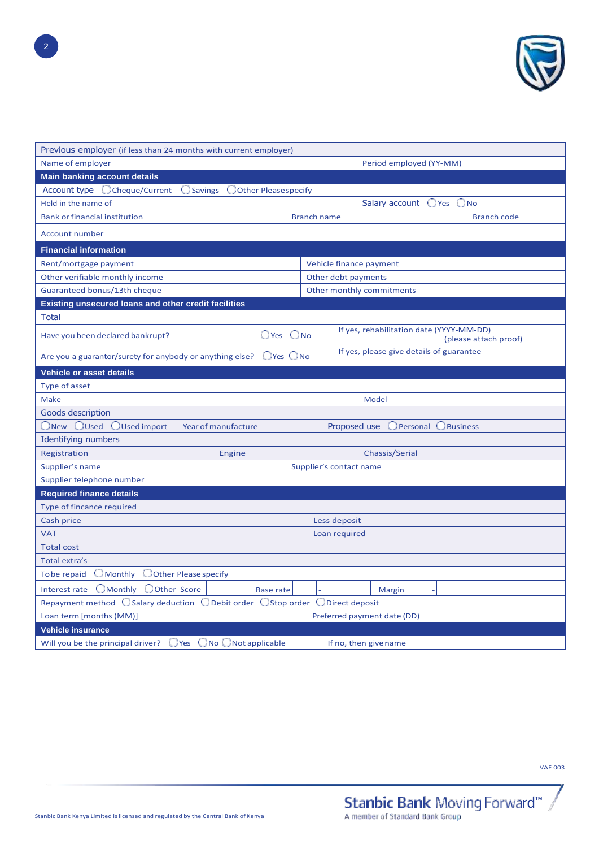

| Previous employer (if less than 24 months with current employer)              |                                                                   |  |  |  |  |  |  |
|-------------------------------------------------------------------------------|-------------------------------------------------------------------|--|--|--|--|--|--|
| Name of employer<br>Period employed (YY-MM)                                   |                                                                   |  |  |  |  |  |  |
| <b>Main banking account details</b>                                           |                                                                   |  |  |  |  |  |  |
| Account type C Cheque/Current<br>○ Savings ○ Other Please specify             |                                                                   |  |  |  |  |  |  |
| Held in the name of                                                           | Salary account OYes ONo                                           |  |  |  |  |  |  |
| <b>Bank or financial institution</b>                                          | <b>Branch name</b><br><b>Branch code</b>                          |  |  |  |  |  |  |
| <b>Account number</b>                                                         |                                                                   |  |  |  |  |  |  |
| <b>Financial information</b>                                                  |                                                                   |  |  |  |  |  |  |
| Rent/mortgage payment                                                         | Vehicle finance payment                                           |  |  |  |  |  |  |
| Other verifiable monthly income                                               | Other debt payments                                               |  |  |  |  |  |  |
| Guaranteed bonus/13th cheque                                                  | Other monthly commitments                                         |  |  |  |  |  |  |
| Existing unsecured loans and other credit facilities                          |                                                                   |  |  |  |  |  |  |
| Total                                                                         |                                                                   |  |  |  |  |  |  |
| $\bigcirc$ Yes $\bigcirc$ No<br>Have you been declared bankrupt?              | If yes, rehabilitation date (YYYY-MM-DD)<br>(please attach proof) |  |  |  |  |  |  |
| Are you a guarantor/surety for anybody or anything else? $\Box$ Yes $\Box$ No | If yes, please give details of guarantee                          |  |  |  |  |  |  |
| <b>Vehicle or asset details</b>                                               |                                                                   |  |  |  |  |  |  |
| Type of asset                                                                 |                                                                   |  |  |  |  |  |  |
| Make                                                                          | Model                                                             |  |  |  |  |  |  |
| Goods description                                                             |                                                                   |  |  |  |  |  |  |
| ONew OUsed OUsed import<br>Year of manufacture                                | O Personal <b>O</b> Business<br>Proposed use                      |  |  |  |  |  |  |
| <b>Identifying numbers</b>                                                    |                                                                   |  |  |  |  |  |  |
| Registration<br>Engine                                                        | Chassis/Serial                                                    |  |  |  |  |  |  |
| Supplier's name                                                               | Supplier's contact name                                           |  |  |  |  |  |  |
| Supplier telephone number                                                     |                                                                   |  |  |  |  |  |  |
| <b>Required finance details</b>                                               |                                                                   |  |  |  |  |  |  |
| Type of fincance required                                                     |                                                                   |  |  |  |  |  |  |
| Cash price                                                                    | Less deposit                                                      |  |  |  |  |  |  |
| <b>VAT</b>                                                                    | Loan required                                                     |  |  |  |  |  |  |
| <b>Total cost</b>                                                             |                                                                   |  |  |  |  |  |  |
| Total extra's                                                                 |                                                                   |  |  |  |  |  |  |
| $\Box$ Monthly $\Box$ Other Please specify<br>To be repaid                    |                                                                   |  |  |  |  |  |  |
| Interest rate CMonthly COther Score<br><b>Base rate</b>                       | Margin                                                            |  |  |  |  |  |  |
| Repayment method CSalary deduction CDebit order CStop order CDirect deposit   |                                                                   |  |  |  |  |  |  |
| Loan term [months (MM)]                                                       | Preferred payment date (DD)                                       |  |  |  |  |  |  |
| <b>Vehicle insurance</b>                                                      |                                                                   |  |  |  |  |  |  |
| Will you be the principal driver? $\Box$ Yes $\Box$ No $\Box$ Not applicable  | If no, then give name                                             |  |  |  |  |  |  |
|                                                                               |                                                                   |  |  |  |  |  |  |

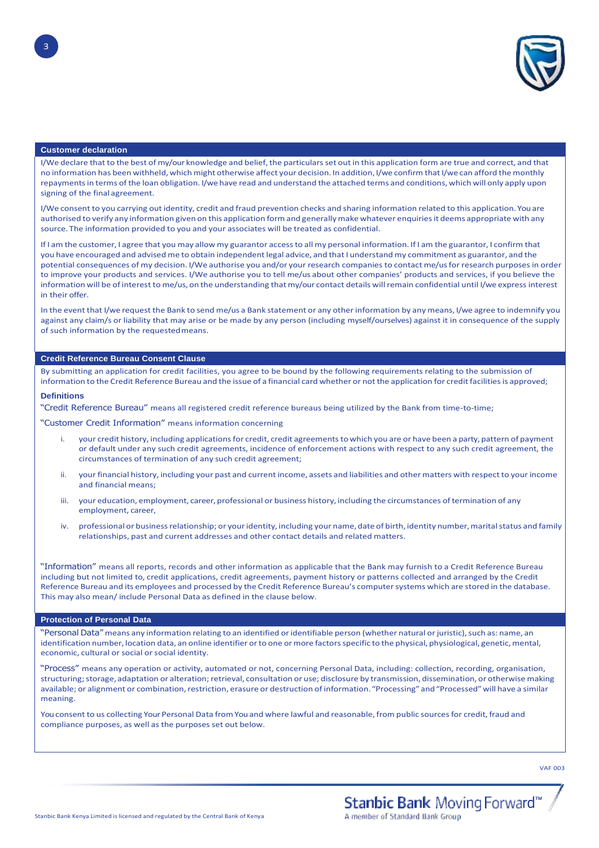

#### **Customer declaration**

3

I/We declare that to the best of my/our knowledge and belief, the particulars set out in this application form are true and correct, and that no information has been withheld, which might otherwise affect your decision. In addition, I/we confirm that I/we can afford the monthly repaymentsin terms of the loan obligation. I/we have read and understand the attached terms and conditions, which will only apply upon signing of the final agreement.

I/We consent to you carrying out identity, credit and fraud prevention checks and sharing information related to this application. You are authorised to verify any information given on this application form and generally make whatever enquiries it deems appropriate with any source. The information provided to you and your associates will be treated as confidential.

If I am the customer, I agree that you may allow my guarantor access to all my personal information. If I am the guarantor, I confirm that you have encouraged and advised me to obtain independent legal advice, and that I understand my commitment as guarantor, and the potential consequences of my decision. I/We authorise you and/or your research companies to contact me/usfor research purposes in order to improve your products and services. I/We authorise you to tell me/us about other companies' products and services, if you believe the information will be of interest to me/us, on the understanding that my/our contact details will remain confidential until I/we express interest in their offer.

In the event that I/we request the Bank to send me/us a Bank statement or any other information by any means, I/we agree to indemnify you against any claim/s or liability that may arise or be made by any person (including myself/ourselves) against it in consequence of the supply of such information by the requestedmeans.

#### **Credit Reference Bureau Consent Clause**

By submitting an application for credit facilities, you agree to be bound by the following requirements relating to the submission of information to the Credit Reference Bureau and the issue of a financial card whether or not the application for credit facilities is approved;

#### **Definitions**

"Credit Reference Bureau" means all registered credit reference bureaus being utilized by the Bank from time-to-time;

"Customer Credit Information" means information concerning

- i. your credit history, including applications for credit, credit agreements to which you are or have been a party, pattern of payment or default under any such credit agreements, incidence of enforcement actions with respect to any such credit agreement, the circumstances of termination of any such credit agreement;
- ii. your financial history, including your past and current income, assets and liabilities and other matters with respect to yourincome and financial means;
- iii. your education, employment, career, professional or business history, including the circumstances of termination of any employment, career,
- iv. professional or business relationship; or your identity, including your name, date of birth, identity number, marital status and family relationships, past and current addresses and other contact details and related matters.

"Information" means all reports, records and other information as applicable that the Bank may furnish to a Credit Reference Bureau including but not limited to, credit applications, credit agreements, payment history or patterns collected and arranged by the Credit Reference Bureau and its employees and processed by the Credit Reference Bureau's computer systems which are stored in the database. This may also mean/ include Personal Data as defined in the clause below.

#### **Protection of Personal Data**

'Personal Data" means any information relating to an identified or identifiable person (whether natural or juristic), such as: name, an identification number, location data, an online identifier or to one or more factors specific to the physical, physiological, genetic, mental, economic, cultural or social or social identity.

"Process" means any operation or activity, automated or not, concerning Personal Data, including: collection, recording, organisation, structuring; storage, adaptation or alteration; retrieval, consultation or use; disclosure by transmission, dissemination, or otherwise making available; or alignment or combination, restriction, erasure or destruction of information. "Processing" and "Processed" will have a similar meaning.

You consent to us collecting Your Personal Data from You and where lawful and reasonable, from public sources for credit, fraud and compliance purposes, as well as the purposes set out below.

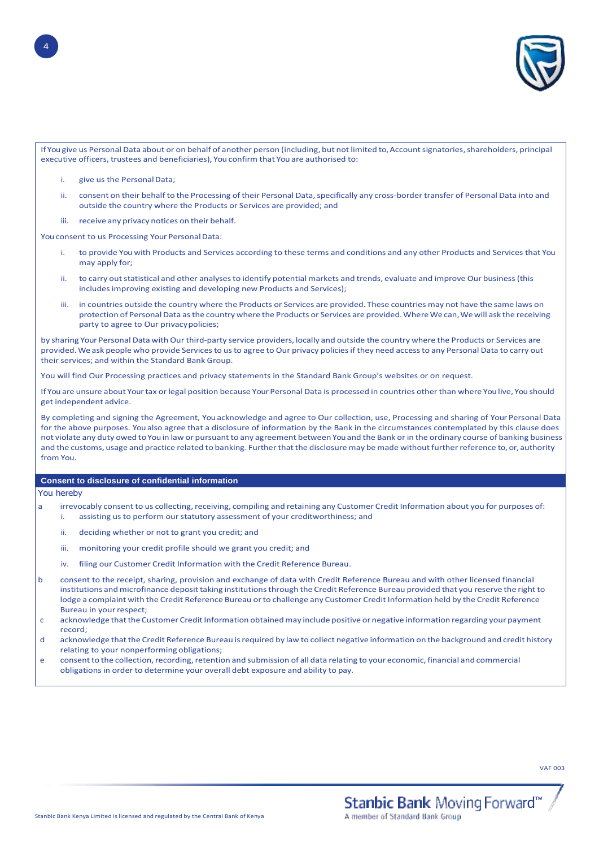

If You give us Personal Data about or on behalf of another person (including, but not limited to, Account signatories, shareholders, principal executive officers, trustees and beneficiaries), You confirm that You are authorised to:

- i. give us the PersonalData;
- ii. consent on their behalf to the Processing of their Personal Data, specifically any cross-border transfer of Personal Data into and outside the country where the Products or Services are provided; and
- iii. receive any privacy notices on their behalf.

You consent to us Processing Your Personal Data:

- i. to provide You with Products and Services according to these terms and conditions and any other Products and Services that You may apply for;
- ii. to carry out statistical and other analyses to identify potential markets and trends, evaluate and improve Our business (this includes improving existing and developing new Products and Services);
- iii. in countries outside the country where the Products or Services are provided. These countries may not have the same laws on protection of Personal Data as the country where the Products or Services are provided. Where We can, We will ask the receiving party to agree to Our privacypolicies;

by sharing Your Personal Data with Our third-party service providers, locally and outside the country where the Products or Services are provided. We ask people who provide Services to us to agree to Our privacy policies if they need access to any Personal Data to carry out their services; and within the Standard Bank Group.

You will find Our Processing practices and privacy statements in the Standard Bank Group's websites or on request.

If You are unsure about Yourtax or legal position because Your Personal Data is processed in countries other than where You live, You should get independent advice.

By completing and signing the Agreement, You acknowledge and agree to Our collection, use, Processing and sharing of Your Personal Data for the above purposes. You also agree that a disclosure of information by the Bank in the circumstances contemplated by this clause does not violate any duty owed to You in law or pursuant to any agreement between You and the Bank or in the ordinary course of banking business and the customs, usage and practice related to banking. Further that the disclosure may be made without further reference to, or, authority from You.

#### **Consent to disclosure of confidential information**

You hereby

- a irrevocably consent to us collecting, receiving, compiling and retaining any Customer Credit Information about you for purposes of:
	- i. assisting us to perform our statutory assessment of your creditworthiness; and
	- ii. deciding whether or not to grant you credit; and
	- iii. monitoring your credit profile should we grant you credit; and
	- iv. filing our Customer Credit Information with the Credit Reference Bureau.
- b consent to the receipt, sharing, provision and exchange of data with Credit Reference Bureau and with other licensed financial institutions and microfinance deposit taking institutions through the Credit Reference Bureau provided that you reserve the right to lodge a complaint with the Credit Reference Bureau or to challenge any Customer Credit Information held by the Credit Reference Bureau in your respect;
- c acknowledge that the Customer Credit Information obtained may include positive or negative information regarding your payment record;
- d acknowledge thatthe Credit Reference Bureau isrequired by law to collect negative information on the background and credit history relating to your nonperforming obligations;
- e consent to the collection, recording, retention and submission of all data relating to your economic, financial and commercial obligations in order to determine your overall debt exposure and ability to pay.

4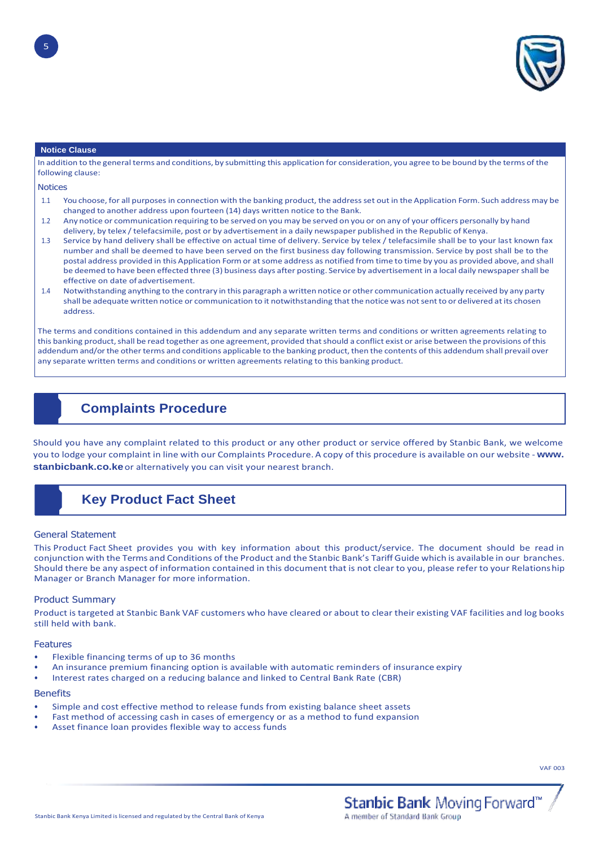

#### **Notice Clause**

In addition to the general terms and conditions, by submitting this application for consideration, you agree to be bound by the terms of the following clause:

**Notices** 

- 1.1 You choose, for all purposes in connection with the banking product, the addressset out in the Application Form. Such address may be changed to another address upon fourteen (14) days written notice to the Bank.
- 1.2 Any notice or communication requiring to be served on you may be served on you or on any of your officers personally by hand delivery, by telex / telefacsimile, post or by advertisement in a daily newspaper published in the Republic of Kenya.
- 1.3 Service by hand delivery shall be effective on actual time of delivery. Service by telex / telefacsimile shall be to your last known fax number and shall be deemed to have been served on the first business day following transmission. Service by post shall be to the postal address provided in this Application Form or atsome address as notified from time to time by you as provided above, and shall be deemed to have been effected three (3) business days after posting. Service by advertisement in a local daily newspapershall be effective on date of advertisement.
- 1.4 Notwithstanding anything to the contrary in this paragraph a written notice or other communication actually received by any party shall be adequate written notice or communication to it notwithstanding that the notice was notsentto or delivered atits chosen address.

The terms and conditions contained in this addendum and any separate written terms and conditions or written agreements relating to this banking product, shall be read together as one agreement, provided that should a conflict exist or arise between the provisions of this addendum and/or the other terms and conditions applicable to the banking product, then the contents of this addendum shall prevail over any separate written terms and conditions or written agreements relating to this banking product.

## **Complaints Procedure**

Should you have any complaint related to this product or any other product or service offered by Stanbic Bank, we welcome you to lodge your complaint in line with our Complaints Procedure. A copy of this procedure is available on our website - **[www.](http://www/) stanbicbank.co.ke**or alternatively you can visit your nearest branch.

# **Key Product Fact Sheet**

#### General Statement

This Product Fact Sheet provides you with key information about this product/service. The document should be read in conjunction with the Terms and Conditions of the Product and the Stanbic Bank's Tariff Guide which is available in our branches. Should there be any aspect of information contained in this document that is not clear to you, please refer to your Relationship Manager or Branch Manager for more information.

#### Product Summary

Product is targeted at Stanbic Bank VAF customers who have cleared or about to clear their existing VAF facilities and log books still held with bank.

#### Features

- Flexible financing terms of up to 36 months
- An insurance premium financing option is available with automatic reminders of insurance expiry
- Interest rates charged on a reducing balance and linked to Central Bank Rate (CBR)

#### **Benefits**

- Simple and cost effective method to release funds from existing balance sheet assets
- Fast method of accessing cash in cases of emergency or as a method to fund expansion
- Asset finance loan provides flexible way to access funds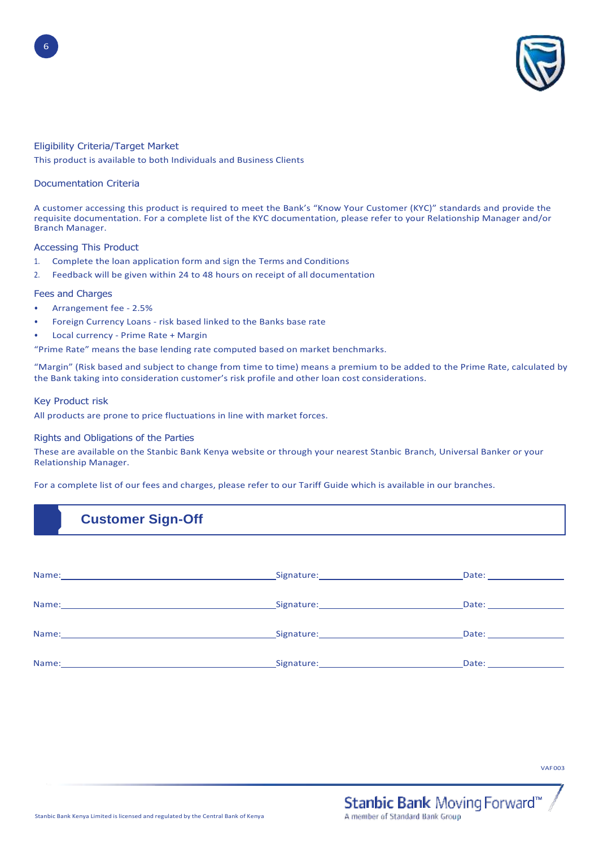

### Eligibility Criteria/Target Market

This product is available to both Individuals and Business Clients

### Documentation Criteria

6

A customer accessing this product is required to meet the Bank's "Know Your Customer (KYC)" standards and provide the requisite documentation. For a complete list of the KYC documentation, please refer to your Relationship Manager and/or Branch Manager.

### Accessing This Product

- 1. Complete the loan application form and sign the Terms and Conditions
- 2. Feedback will be given within 24 to 48 hours on receipt of all documentation

## Fees and Charges

- Arrangement fee 2.5%
- Foreign Currency Loans risk based linked to the Banks base rate
- Local currency Prime Rate + Margin
- "Prime Rate" means the base lending rate computed based on market benchmarks.

"Margin" (Risk based and subject to change from time to time) means a premium to be added to the Prime Rate, calculated by the Bank taking into consideration customer's risk profile and other loan cost considerations.

#### Key Product risk

All products are prone to price fluctuations in line with market forces.

#### Rights and Obligations of the Parties

These are available on the Stanbic Bank Kenya website or through your nearest Stanbic Branch, Universal Banker or your Relationship Manager.

For a complete list of our fees and charges, please refer to our Tariff Guide which is available in our branches.

## **Customer Sign-Off**

|                                                                                                                                                                                                                                | Date: the contract of the contract of the contract of the contract of the contract of the contract of the contract of the contract of the contract of the contract of the contract of the contract of the contract of the cont |
|--------------------------------------------------------------------------------------------------------------------------------------------------------------------------------------------------------------------------------|--------------------------------------------------------------------------------------------------------------------------------------------------------------------------------------------------------------------------------|
|                                                                                                                                                                                                                                | Date: __________________                                                                                                                                                                                                       |
|                                                                                                                                                                                                                                | Date: _________________                                                                                                                                                                                                        |
| Signature: The Company of the Company of the Company of the Company of the Company of the Company of the Company of the Company of the Company of the Company of the Company of the Company of the Company of the Company of t | Date: the contract of the contract of the contract of the contract of the contract of the contract of the contract of the contract of the contract of the contract of the contract of the contract of the contract of the cont |